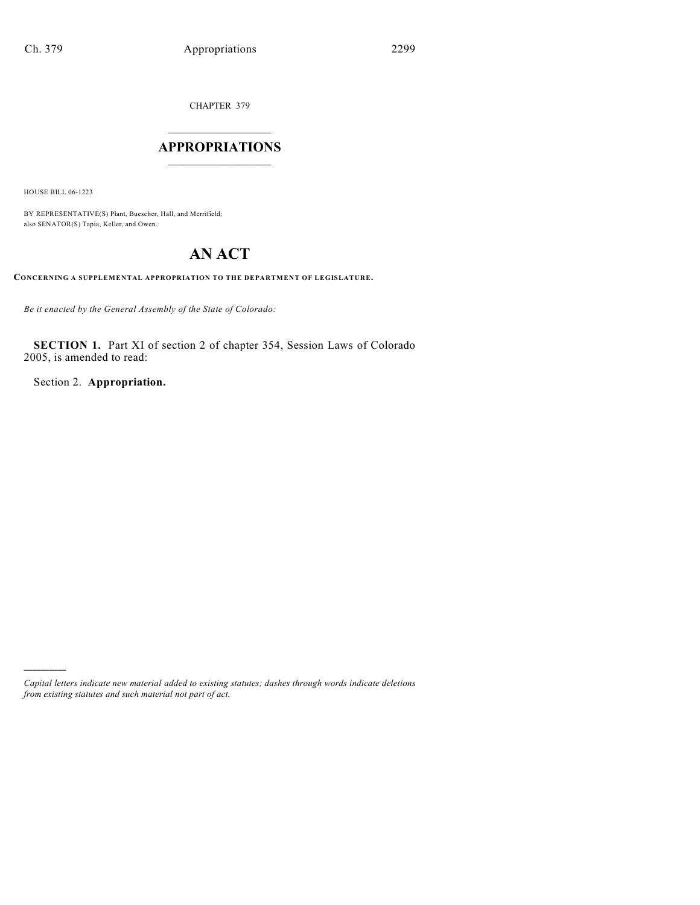CHAPTER 379

## $\mathcal{L}_\text{max}$  . The set of the set of the set of the set of the set of the set of the set of the set of the set of the set of the set of the set of the set of the set of the set of the set of the set of the set of the set **APPROPRIATIONS**  $\_$   $\_$   $\_$   $\_$   $\_$   $\_$   $\_$   $\_$

HOUSE BILL 06-1223

)))))

BY REPRESENTATIVE(S) Plant, Buescher, Hall, and Merrifield; also SENATOR(S) Tapia, Keller, and Owen.

# **AN ACT**

**CONCERNING A SUPPLEMENTAL APPROPRIATION TO THE DEPARTMENT OF LEGISLATURE.**

*Be it enacted by the General Assembly of the State of Colorado:*

**SECTION 1.** Part XI of section 2 of chapter 354, Session Laws of Colorado 2005, is amended to read:

Section 2. **Appropriation.**

*Capital letters indicate new material added to existing statutes; dashes through words indicate deletions from existing statutes and such material not part of act.*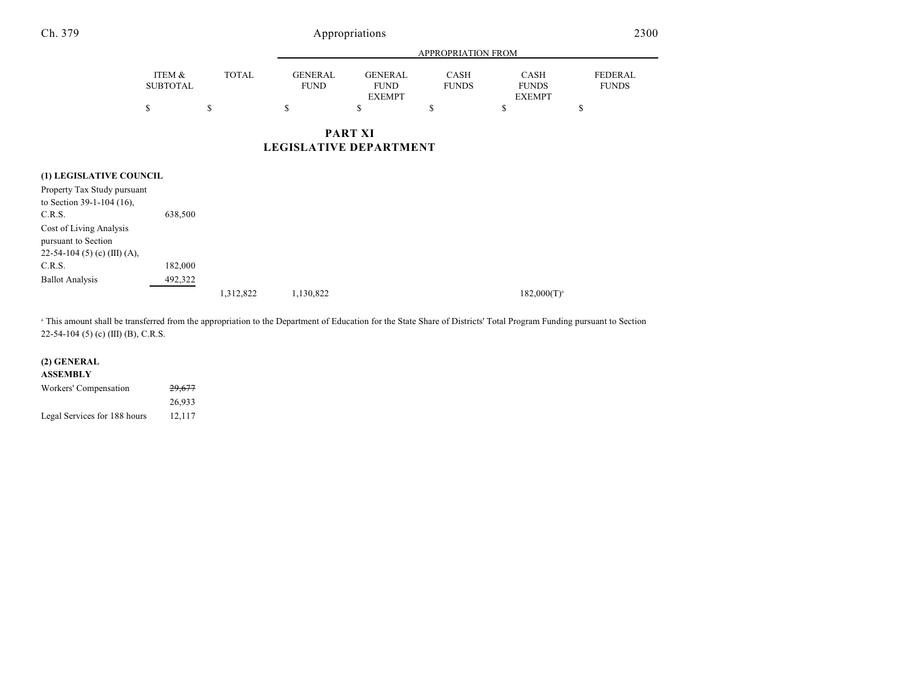### Ch. 379 Appropriations 2300

| \$              | \$           | S              | <b>EXEMPT</b><br>S | S            | <b>EXEMPT</b><br>S | \$           |
|-----------------|--------------|----------------|--------------------|--------------|--------------------|--------------|
| ITEM &          | <b>TOTAL</b> | <b>GENERAL</b> | <b>GENERAL</b>     | <b>CASH</b>  | <b>CASH</b>        | FEDERAL      |
| <b>SUBTOTAL</b> |              | <b>FUND</b>    | <b>FUND</b>        | <b>FUNDS</b> | <b>FUNDS</b>       | <b>FUNDS</b> |

#### **(1) LEGISLATIVE COUNCIL**

| $(1)$ because $(1)$ becomes $(2)$                                              |         |           |           |                  |
|--------------------------------------------------------------------------------|---------|-----------|-----------|------------------|
| Property Tax Study pursuant                                                    |         |           |           |                  |
| to Section 39-1-104 (16),                                                      |         |           |           |                  |
| C.R.S.                                                                         | 638,500 |           |           |                  |
| Cost of Living Analysis<br>pursuant to Section<br>22-54-104 (5) (c) (III) (A), |         |           |           |                  |
| C.R.S.                                                                         | 182,000 |           |           |                  |
| <b>Ballot Analysis</b>                                                         | 492,322 |           |           |                  |
|                                                                                |         | 1,312,822 | 1,130,822 | $182,000(T)^{a}$ |
|                                                                                |         |           |           |                  |

 This amount shall be transferred from the appropriation to the Department of Education for the State Share of Districts' Total Program Funding pursuant to Section <sup>a</sup> 22-54-104 (5) (c) (III) (B), C.R.S.

### **(2) GENERAL**

| ASSEMBLY                     |                   |  |
|------------------------------|-------------------|--|
| Workers' Compensation        | <del>29,677</del> |  |
|                              | 26.933            |  |
| Legal Services for 188 hours | 12.117            |  |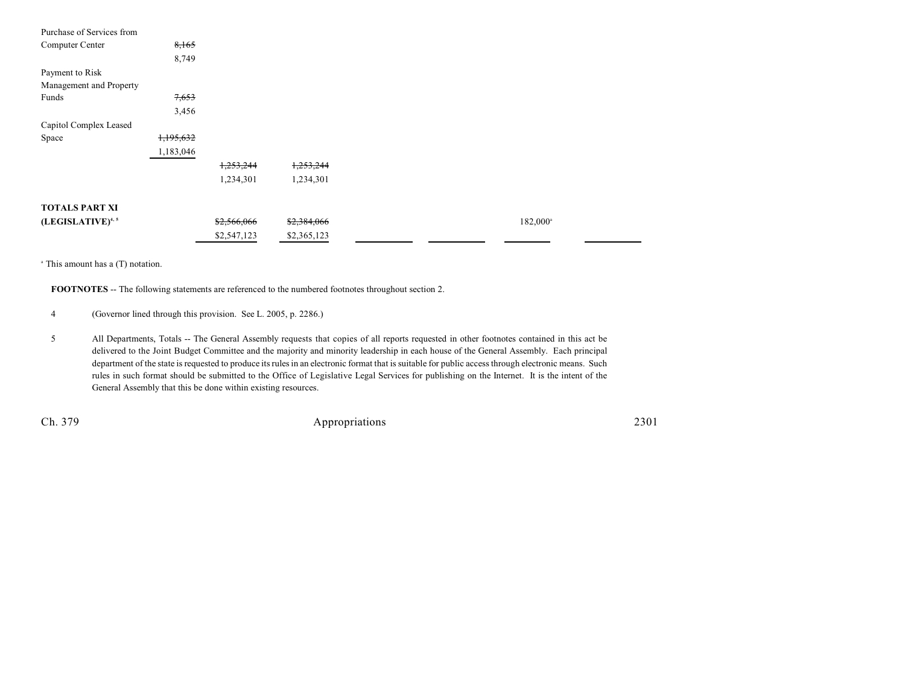| Purchase of Services from |           |             |             |  |                      |
|---------------------------|-----------|-------------|-------------|--|----------------------|
| Computer Center           | 8,165     |             |             |  |                      |
|                           | 8,749     |             |             |  |                      |
| Payment to Risk           |           |             |             |  |                      |
| Management and Property   |           |             |             |  |                      |
| Funds                     | 7,653     |             |             |  |                      |
|                           | 3,456     |             |             |  |                      |
| Capitol Complex Leased    |           |             |             |  |                      |
| Space                     | 1,195,632 |             |             |  |                      |
|                           | 1,183,046 |             |             |  |                      |
|                           |           | 1,253,244   | 1,253,244   |  |                      |
|                           |           | 1,234,301   | 1,234,301   |  |                      |
| <b>TOTALS PART XI</b>     |           |             |             |  |                      |
|                           |           |             |             |  |                      |
| (LEGISLATIVE)4,5          |           | \$2,566,066 | \$2,384,066 |  | 182,000 <sup>a</sup> |
|                           |           | \$2,547,123 | \$2,365,123 |  |                      |

 $^{\circ}$  This amount has a (T) notation.

**FOOTNOTES** -- The following statements are referenced to the numbered footnotes throughout section 2.

4 (Governor lined through this provision. See L. 2005, p. 2286.)

5 All Departments, Totals -- The General Assembly requests that copies of all reports requested in other footnotes contained in this act be delivered to the Joint Budget Committee and the majority and minority leadership in each house of the General Assembly. Each principal department of the state is requested to produce its rules in an electronic format that is suitable for public access through electronic means. Such rules in such format should be submitted to the Office of Legislative Legal Services for publishing on the Internet. It is the intent of the General Assembly that this be done within existing resources.

Ch. 379 Appropriations 2301